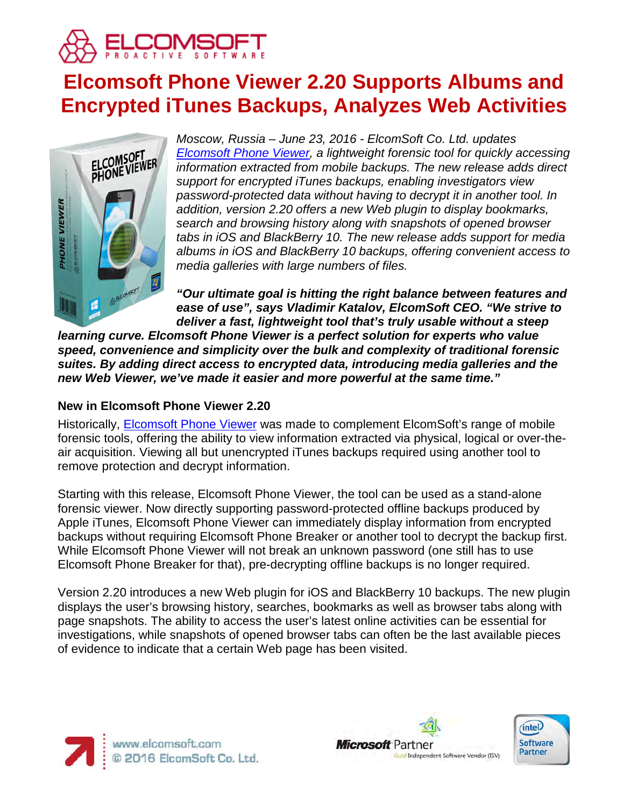

# **Elcomsoft Phone Viewer 2.20 Supports Albums and Encrypted iTunes Backups, Analyzes Web Activities**



*Moscow, Russia – June 23, 2016 - ElcomSoft Co. Ltd. updates [Elcomsoft Phone Viewer,](https://www.elcomsoft.com/epv.html) a lightweight forensic tool for quickly accessing information extracted from mobile backups. The new release adds direct support for encrypted iTunes backups, enabling investigators view password-protected data without having to decrypt it in another tool. In addition, version 2.20 offers a new Web plugin to display bookmarks, search and browsing history along with snapshots of opened browser tabs in iOS and BlackBerry 10. The new release adds support for media albums in iOS and BlackBerry 10 backups, offering convenient access to media galleries with large numbers of files.*

*"Our ultimate goal is hitting the right balance between features and ease of use", says Vladimir Katalov, ElcomSoft CEO. "We strive to deliver a fast, lightweight tool that's truly usable without a steep* 

*learning curve. Elcomsoft Phone Viewer is a perfect solution for experts who value speed, convenience and simplicity over the bulk and complexity of traditional forensic suites. By adding direct access to encrypted data, introducing media galleries and the new Web Viewer, we've made it easier and more powerful at the same time."*

### **New in Elcomsoft Phone Viewer 2.20**

Historically, [Elcomsoft Phone Viewer](https://www.elcomsoft.com/epv.html) was made to complement ElcomSoft's range of mobile forensic tools, offering the ability to view information extracted via physical, logical or over-theair acquisition. Viewing all but unencrypted iTunes backups required using another tool to remove protection and decrypt information.

Starting with this release, Elcomsoft Phone Viewer, the tool can be used as a stand-alone forensic viewer. Now directly supporting password-protected offline backups produced by Apple iTunes, Elcomsoft Phone Viewer can immediately display information from encrypted backups without requiring Elcomsoft Phone Breaker or another tool to decrypt the backup first. While Elcomsoft Phone Viewer will not break an unknown password (one still has to use Elcomsoft Phone Breaker for that), pre-decrypting offline backups is no longer required.

Version 2.20 introduces a new Web plugin for iOS and BlackBerry 10 backups. The new plugin displays the user's browsing history, searches, bookmarks as well as browser tabs along with page snapshots. The ability to access the user's latest online activities can be essential for investigations, while snapshots of opened browser tabs can often be the last available pieces of evidence to indicate that a certain Web page has been visited.